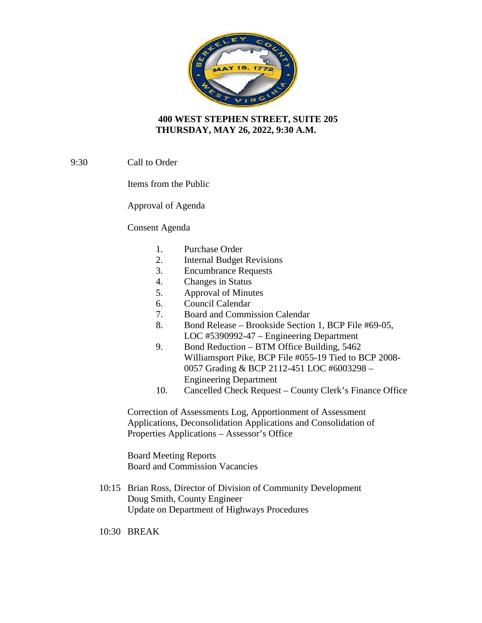

## **400 WEST STEPHEN STREET, SUITE 205 THURSDAY, MAY 26, 2022, 9:30 A.M.**

9:30 Call to Order

Items from the Public

Approval of Agenda

Consent Agenda

- 1. Purchase Order
- 2. Internal Budget Revisions
- 3. Encumbrance Requests
- 4. Changes in Status
- 5. Approval of Minutes
- 6. Council Calendar
- 7. Board and Commission Calendar
- 8. Bond Release Brookside Section 1, BCP File #69-05, LOC #5390992-47 – Engineering Department
- 9. Bond Reduction BTM Office Building, 5462 Williamsport Pike, BCP File #055-19 Tied to BCP 2008- 0057 Grading & BCP 2112-451 LOC #6003298 – Engineering Department
- 10. Cancelled Check Request County Clerk's Finance Office

Correction of Assessments Log, Apportionment of Assessment Applications, Deconsolidation Applications and Consolidation of Properties Applications – Assessor's Office

Board Meeting Reports Board and Commission Vacancies

10:15 Brian Ross, Director of Division of Community Development Doug Smith, County Engineer Update on Department of Highways Procedures

10:30 BREAK